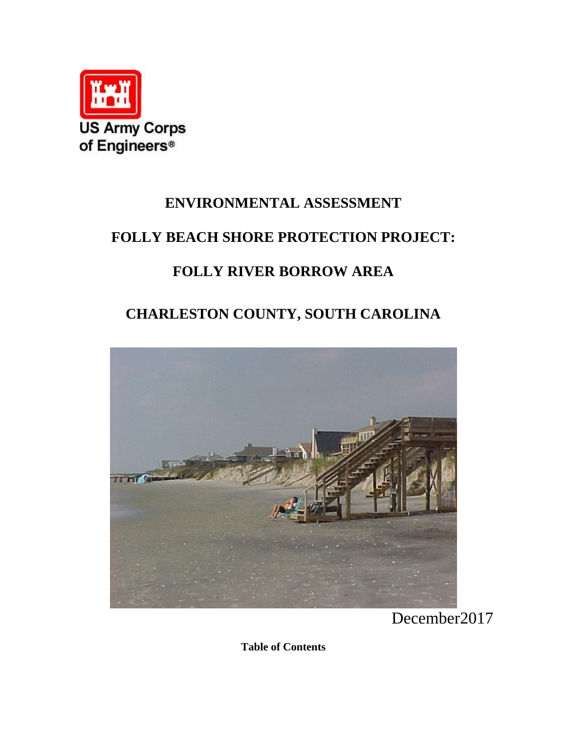

### **ENVIRONMENTAL ASSESSMENT**

### **FOLLY BEACH SHORE PROTECTION PROJECT:**

## **FOLLY RIVER BORROW AREA**

# **CHARLESTON COUNTY, SOUTH CAROLINA**



December2017

**Table of Contents**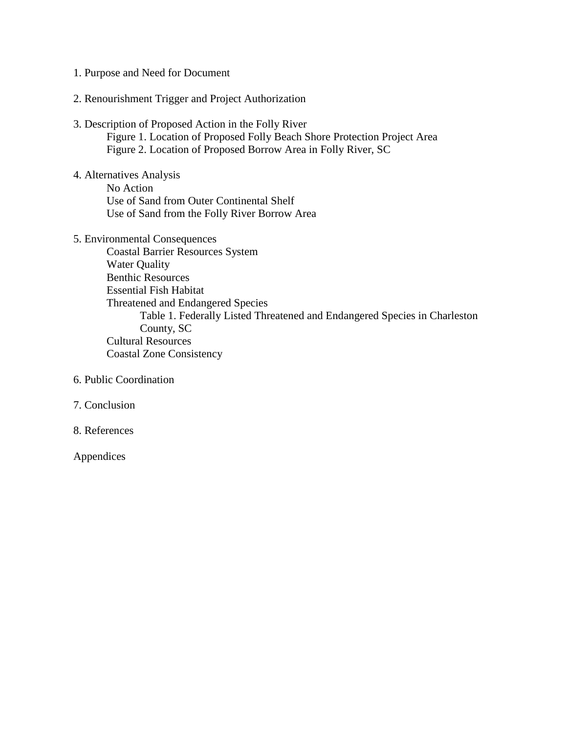- 1. Purpose and Need for Document
- 2. Renourishment Trigger and Project Authorization
- 3. Description of Proposed Action in the Folly River Figure 1. Location of Proposed Folly Beach Shore Protection Project Area Figure 2. Location of Proposed Borrow Area in Folly River, SC
- 4. Alternatives Analysis No Action Use of Sand from Outer Continental Shelf Use of Sand from the Folly River Borrow Area
- 5. Environmental Consequences Coastal Barrier Resources System Water Quality Benthic Resources Essential Fish Habitat Threatened and Endangered Species Table 1. Federally Listed Threatened and Endangered Species in Charleston County, SC Cultural Resources Coastal Zone Consistency
- 6. Public Coordination
- 7. Conclusion
- 8. References

Appendices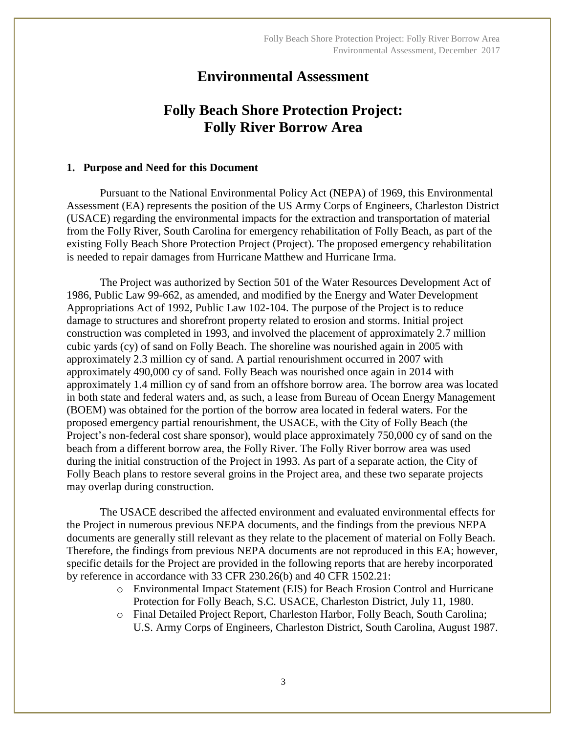### **Environmental Assessment**

### **Folly Beach Shore Protection Project: Folly River Borrow Area**

#### **1. Purpose and Need for this Document**

Pursuant to the National Environmental Policy Act (NEPA) of 1969, this Environmental Assessment (EA) represents the position of the US Army Corps of Engineers, Charleston District (USACE) regarding the environmental impacts for the extraction and transportation of material from the Folly River, South Carolina for emergency rehabilitation of Folly Beach, as part of the existing Folly Beach Shore Protection Project (Project). The proposed emergency rehabilitation is needed to repair damages from Hurricane Matthew and Hurricane Irma.

The Project was authorized by Section 501 of the Water Resources Development Act of 1986, Public Law 99-662, as amended, and modified by the Energy and Water Development Appropriations Act of 1992, Public Law 102-104. The purpose of the Project is to reduce damage to structures and shorefront property related to erosion and storms. Initial project construction was completed in 1993, and involved the placement of approximately 2.7 million cubic yards (cy) of sand on Folly Beach. The shoreline was nourished again in 2005 with approximately 2.3 million cy of sand. A partial renourishment occurred in 2007 with approximately 490,000 cy of sand. Folly Beach was nourished once again in 2014 with approximately 1.4 million cy of sand from an offshore borrow area. The borrow area was located in both state and federal waters and, as such, a lease from Bureau of Ocean Energy Management (BOEM) was obtained for the portion of the borrow area located in federal waters. For the proposed emergency partial renourishment, the USACE, with the City of Folly Beach (the Project's non-federal cost share sponsor), would place approximately 750,000 cy of sand on the beach from a different borrow area, the Folly River. The Folly River borrow area was used during the initial construction of the Project in 1993. As part of a separate action, the City of Folly Beach plans to restore several groins in the Project area, and these two separate projects may overlap during construction.

The USACE described the affected environment and evaluated environmental effects for the Project in numerous previous NEPA documents, and the findings from the previous NEPA documents are generally still relevant as they relate to the placement of material on Folly Beach. Therefore, the findings from previous NEPA documents are not reproduced in this EA; however, specific details for the Project are provided in the following reports that are hereby incorporated by reference in accordance with 33 CFR 230.26(b) and 40 CFR 1502.21:

- o Environmental Impact Statement (EIS) for Beach Erosion Control and Hurricane Protection for Folly Beach, S.C. USACE, Charleston District, July 11, 1980.
- o Final Detailed Project Report, Charleston Harbor, Folly Beach, South Carolina; U.S. Army Corps of Engineers, Charleston District, South Carolina, August 1987.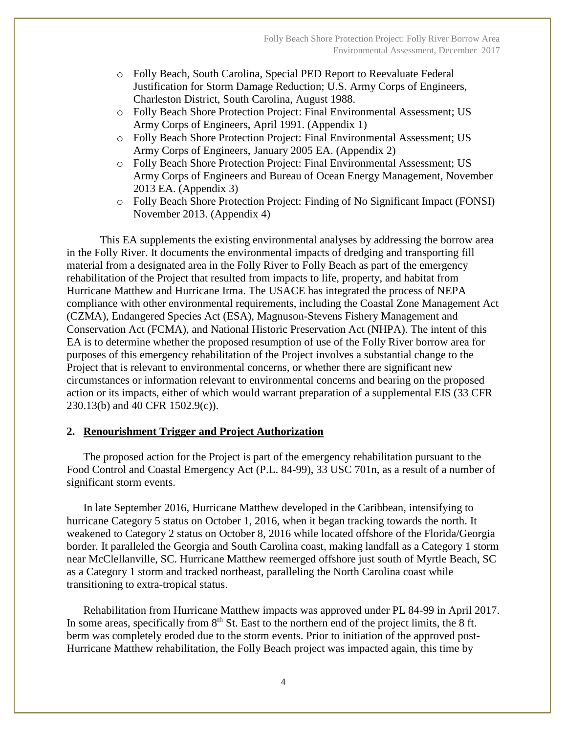- o Folly Beach, South Carolina, Special PED Report to Reevaluate Federal Justification for Storm Damage Reduction; U.S. Army Corps of Engineers, Charleston District, South Carolina, August 1988.
- o Folly Beach Shore Protection Project: Final Environmental Assessment; US Army Corps of Engineers, April 1991. (Appendix 1)
- o Folly Beach Shore Protection Project: Final Environmental Assessment; US Army Corps of Engineers, January 2005 EA. (Appendix 2)
- o Folly Beach Shore Protection Project: Final Environmental Assessment; US Army Corps of Engineers and Bureau of Ocean Energy Management, November 2013 EA. (Appendix 3)
- o Folly Beach Shore Protection Project: Finding of No Significant Impact (FONSI) November 2013. (Appendix 4)

This EA supplements the existing environmental analyses by addressing the borrow area in the Folly River. It documents the environmental impacts of dredging and transporting fill material from a designated area in the Folly River to Folly Beach as part of the emergency rehabilitation of the Project that resulted from impacts to life, property, and habitat from Hurricane Matthew and Hurricane Irma. The USACE has integrated the process of NEPA compliance with other environmental requirements, including the Coastal Zone Management Act (CZMA), Endangered Species Act (ESA), Magnuson-Stevens Fishery Management and Conservation Act (FCMA), and National Historic Preservation Act (NHPA). The intent of this EA is to determine whether the proposed resumption of use of the Folly River borrow area for purposes of this emergency rehabilitation of the Project involves a substantial change to the Project that is relevant to environmental concerns, or whether there are significant new circumstances or information relevant to environmental concerns and bearing on the proposed action or its impacts, either of which would warrant preparation of a supplemental EIS (33 CFR 230.13(b) and 40 CFR 1502.9(c)).

#### **2. Renourishment Trigger and Project Authorization**

The proposed action for the Project is part of the emergency rehabilitation pursuant to the Food Control and Coastal Emergency Act (P.L. 84-99), 33 USC 701n, as a result of a number of significant storm events.

In late September 2016, Hurricane Matthew developed in the Caribbean, intensifying to hurricane Category 5 status on October 1, 2016, when it began tracking towards the north. It weakened to Category 2 status on October 8, 2016 while located offshore of the Florida/Georgia border. It paralleled the Georgia and South Carolina coast, making landfall as a Category 1 storm near McClellanville, SC. Hurricane Matthew reemerged offshore just south of Myrtle Beach, SC as a Category 1 storm and tracked northeast, paralleling the North Carolina coast while transitioning to extra-tropical status.

Rehabilitation from Hurricane Matthew impacts was approved under PL 84-99 in April 2017. In some areas, specifically from  $8<sup>th</sup>$  St. East to the northern end of the project limits, the  $8$  ft. berm was completely eroded due to the storm events. Prior to initiation of the approved post-Hurricane Matthew rehabilitation, the Folly Beach project was impacted again, this time by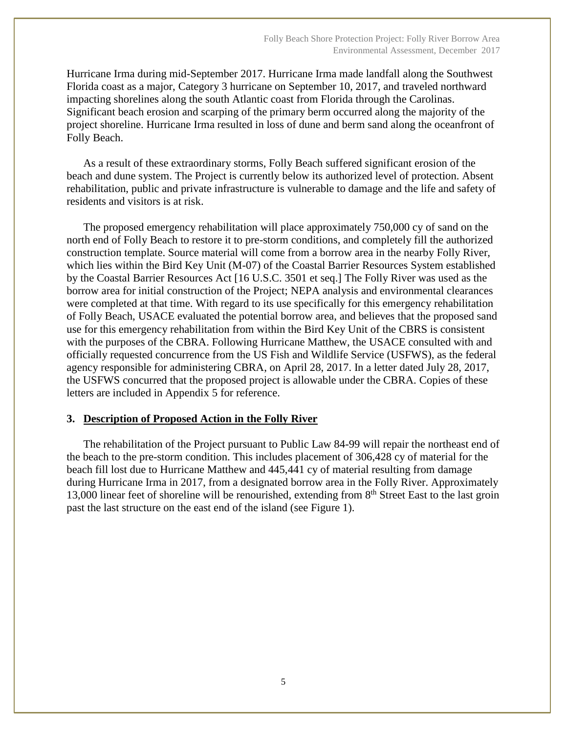Hurricane Irma during mid-September 2017. Hurricane Irma made landfall along the Southwest Florida coast as a major, Category 3 hurricane on September 10, 2017, and traveled northward impacting shorelines along the south Atlantic coast from Florida through the Carolinas. Significant beach erosion and scarping of the primary berm occurred along the majority of the project shoreline. Hurricane Irma resulted in loss of dune and berm sand along the oceanfront of Folly Beach.

As a result of these extraordinary storms, Folly Beach suffered significant erosion of the beach and dune system. The Project is currently below its authorized level of protection. Absent rehabilitation, public and private infrastructure is vulnerable to damage and the life and safety of residents and visitors is at risk.

The proposed emergency rehabilitation will place approximately 750,000 cy of sand on the north end of Folly Beach to restore it to pre-storm conditions, and completely fill the authorized construction template. Source material will come from a borrow area in the nearby Folly River, which lies within the Bird Key Unit (M-07) of the Coastal Barrier Resources System established by the Coastal Barrier Resources Act [16 U.S.C. 3501 et seq.] The Folly River was used as the borrow area for initial construction of the Project; NEPA analysis and environmental clearances were completed at that time. With regard to its use specifically for this emergency rehabilitation of Folly Beach, USACE evaluated the potential borrow area, and believes that the proposed sand use for this emergency rehabilitation from within the Bird Key Unit of the CBRS is consistent with the purposes of the CBRA. Following Hurricane Matthew, the USACE consulted with and officially requested concurrence from the US Fish and Wildlife Service (USFWS), as the federal agency responsible for administering CBRA, on April 28, 2017. In a letter dated July 28, 2017, the USFWS concurred that the proposed project is allowable under the CBRA. Copies of these letters are included in Appendix 5 for reference.

#### **3. Description of Proposed Action in the Folly River**

The rehabilitation of the Project pursuant to Public Law 84-99 will repair the northeast end of the beach to the pre-storm condition. This includes placement of 306,428 cy of material for the beach fill lost due to Hurricane Matthew and 445,441 cy of material resulting from damage during Hurricane Irma in 2017, from a designated borrow area in the Folly River. Approximately 13,000 linear feet of shoreline will be renourished, extending from  $8<sup>th</sup>$  Street East to the last groin past the last structure on the east end of the island (see Figure 1).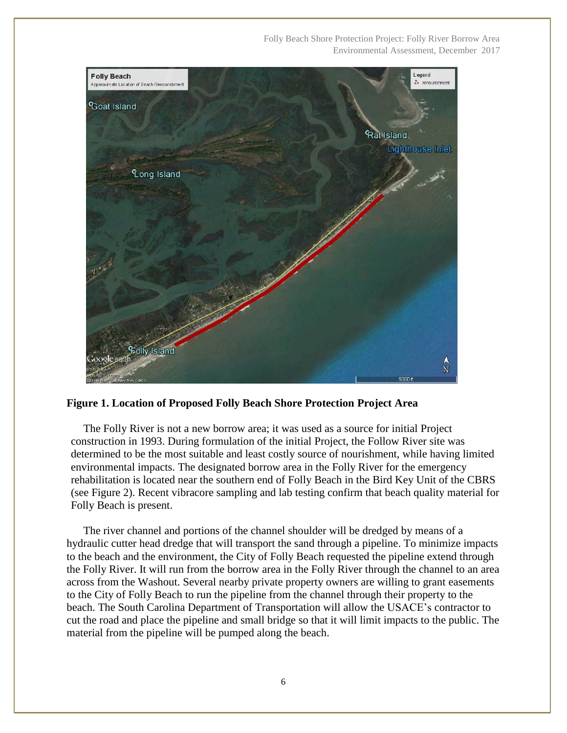Folly Beach Shore Protection Project: Folly River Borrow Area Environmental Assessment, December 2017



**Figure 1. Location of Proposed Folly Beach Shore Protection Project Area**

The Folly River is not a new borrow area; it was used as a source for initial Project construction in 1993. During formulation of the initial Project, the Follow River site was determined to be the most suitable and least costly source of nourishment, while having limited environmental impacts. The designated borrow area in the Folly River for the emergency rehabilitation is located near the southern end of Folly Beach in the Bird Key Unit of the CBRS (see Figure 2). Recent vibracore sampling and lab testing confirm that beach quality material for Folly Beach is present.

The river channel and portions of the channel shoulder will be dredged by means of a hydraulic cutter head dredge that will transport the sand through a pipeline. To minimize impacts to the beach and the environment, the City of Folly Beach requested the pipeline extend through the Folly River. It will run from the borrow area in the Folly River through the channel to an area across from the Washout. Several nearby private property owners are willing to grant easements to the City of Folly Beach to run the pipeline from the channel through their property to the beach. The South Carolina Department of Transportation will allow the USACE's contractor to cut the road and place the pipeline and small bridge so that it will limit impacts to the public. The material from the pipeline will be pumped along the beach.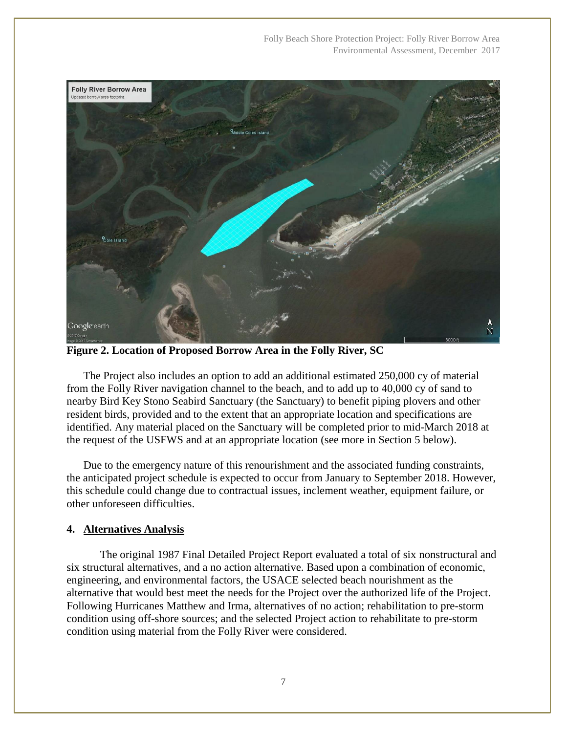Folly Beach Shore Protection Project: Folly River Borrow Area Environmental Assessment, December 2017



**Figure 2. Location of Proposed Borrow Area in the Folly River, SC**

The Project also includes an option to add an additional estimated 250,000 cy of material from the Folly River navigation channel to the beach, and to add up to 40,000 cy of sand to nearby Bird Key Stono Seabird Sanctuary (the Sanctuary) to benefit piping plovers and other resident birds, provided and to the extent that an appropriate location and specifications are identified. Any material placed on the Sanctuary will be completed prior to mid-March 2018 at the request of the USFWS and at an appropriate location (see more in Section 5 below).

Due to the emergency nature of this renourishment and the associated funding constraints, the anticipated project schedule is expected to occur from January to September 2018. However, this schedule could change due to contractual issues, inclement weather, equipment failure, or other unforeseen difficulties.

#### **4. Alternatives Analysis**

The original 1987 Final Detailed Project Report evaluated a total of six nonstructural and six structural alternatives, and a no action alternative. Based upon a combination of economic, engineering, and environmental factors, the USACE selected beach nourishment as the alternative that would best meet the needs for the Project over the authorized life of the Project. Following Hurricanes Matthew and Irma, alternatives of no action; rehabilitation to pre-storm condition using off-shore sources; and the selected Project action to rehabilitate to pre-storm condition using material from the Folly River were considered.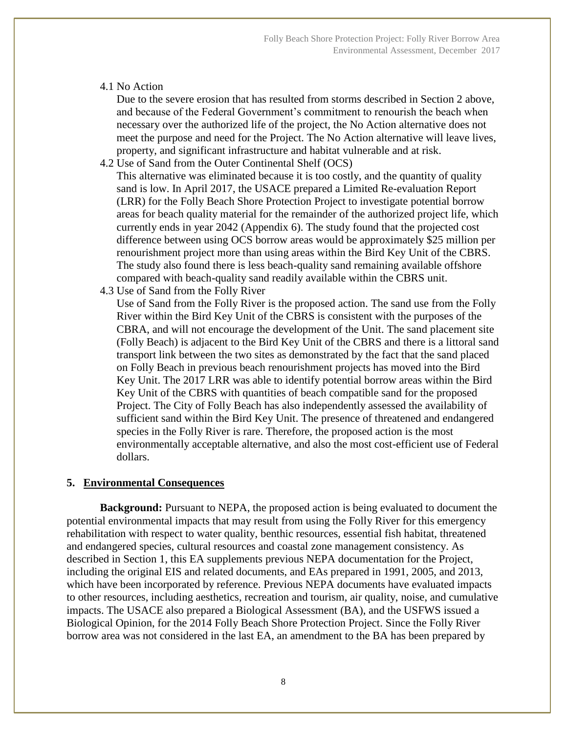#### 4.1 No Action

Due to the severe erosion that has resulted from storms described in Section 2 above, and because of the Federal Government's commitment to renourish the beach when necessary over the authorized life of the project, the No Action alternative does not meet the purpose and need for the Project. The No Action alternative will leave lives, property, and significant infrastructure and habitat vulnerable and at risk.

- 4.2 Use of Sand from the Outer Continental Shelf (OCS) This alternative was eliminated because it is too costly, and the quantity of quality sand is low. In April 2017, the USACE prepared a Limited Re-evaluation Report (LRR) for the Folly Beach Shore Protection Project to investigate potential borrow areas for beach quality material for the remainder of the authorized project life, which currently ends in year 2042 (Appendix 6). The study found that the projected cost difference between using OCS borrow areas would be approximately \$25 million per renourishment project more than using areas within the Bird Key Unit of the CBRS. The study also found there is less beach-quality sand remaining available offshore compared with beach-quality sand readily available within the CBRS unit.
- 4.3 Use of Sand from the Folly River

Use of Sand from the Folly River is the proposed action. The sand use from the Folly River within the Bird Key Unit of the CBRS is consistent with the purposes of the CBRA, and will not encourage the development of the Unit. The sand placement site (Folly Beach) is adjacent to the Bird Key Unit of the CBRS and there is a littoral sand transport link between the two sites as demonstrated by the fact that the sand placed on Folly Beach in previous beach renourishment projects has moved into the Bird Key Unit. The 2017 LRR was able to identify potential borrow areas within the Bird Key Unit of the CBRS with quantities of beach compatible sand for the proposed Project. The City of Folly Beach has also independently assessed the availability of sufficient sand within the Bird Key Unit. The presence of threatened and endangered species in the Folly River is rare. Therefore, the proposed action is the most environmentally acceptable alternative, and also the most cost-efficient use of Federal dollars.

#### **5. Environmental Consequences**

**Background:** Pursuant to NEPA, the proposed action is being evaluated to document the potential environmental impacts that may result from using the Folly River for this emergency rehabilitation with respect to water quality, benthic resources, essential fish habitat, threatened and endangered species, cultural resources and coastal zone management consistency. As described in Section 1, this EA supplements previous NEPA documentation for the Project, including the original EIS and related documents, and EAs prepared in 1991, 2005, and 2013, which have been incorporated by reference. Previous NEPA documents have evaluated impacts to other resources, including aesthetics, recreation and tourism, air quality, noise, and cumulative impacts. The USACE also prepared a Biological Assessment (BA), and the USFWS issued a Biological Opinion, for the 2014 Folly Beach Shore Protection Project. Since the Folly River borrow area was not considered in the last EA, an amendment to the BA has been prepared by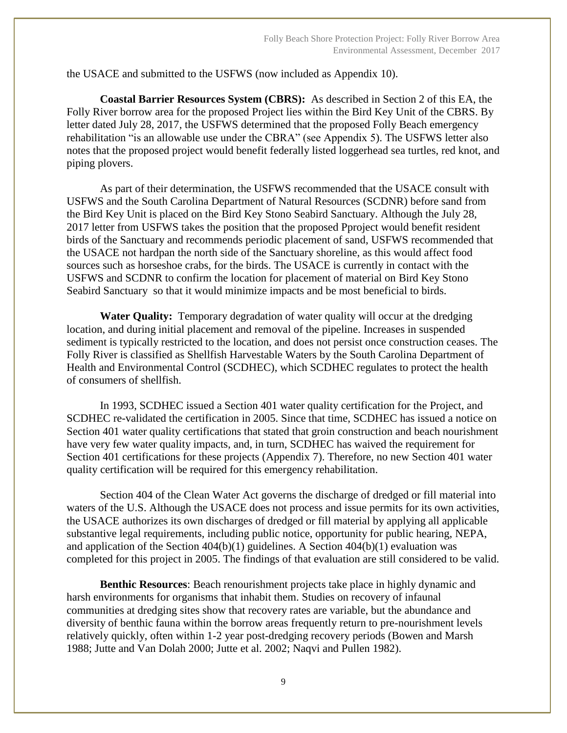the USACE and submitted to the USFWS (now included as Appendix 10).

**Coastal Barrier Resources System (CBRS):** As described in Section 2 of this EA, the Folly River borrow area for the proposed Project lies within the Bird Key Unit of the CBRS. By letter dated July 28, 2017, the USFWS determined that the proposed Folly Beach emergency rehabilitation "is an allowable use under the CBRA" (see Appendix 5). The USFWS letter also notes that the proposed project would benefit federally listed loggerhead sea turtles, red knot, and piping plovers.

As part of their determination, the USFWS recommended that the USACE consult with USFWS and the South Carolina Department of Natural Resources (SCDNR) before sand from the Bird Key Unit is placed on the Bird Key Stono Seabird Sanctuary. Although the July 28, 2017 letter from USFWS takes the position that the proposed Pproject would benefit resident birds of the Sanctuary and recommends periodic placement of sand, USFWS recommended that the USACE not hardpan the north side of the Sanctuary shoreline, as this would affect food sources such as horseshoe crabs, for the birds. The USACE is currently in contact with the USFWS and SCDNR to confirm the location for placement of material on Bird Key Stono Seabird Sanctuary so that it would minimize impacts and be most beneficial to birds.

**Water Quality:** Temporary degradation of water quality will occur at the dredging location, and during initial placement and removal of the pipeline. Increases in suspended sediment is typically restricted to the location, and does not persist once construction ceases. The Folly River is classified as Shellfish Harvestable Waters by the South Carolina Department of Health and Environmental Control (SCDHEC), which SCDHEC regulates to protect the health of consumers of shellfish.

In 1993, SCDHEC issued a Section 401 water quality certification for the Project, and SCDHEC re-validated the certification in 2005. Since that time, SCDHEC has issued a notice on Section 401 water quality certifications that stated that groin construction and beach nourishment have very few water quality impacts, and, in turn, SCDHEC has waived the requirement for Section 401 certifications for these projects (Appendix 7). Therefore, no new Section 401 water quality certification will be required for this emergency rehabilitation.

Section 404 of the Clean Water Act governs the discharge of dredged or fill material into waters of the U.S. Although the USACE does not process and issue permits for its own activities, the USACE authorizes its own discharges of dredged or fill material by applying all applicable substantive legal requirements, including public notice, opportunity for public hearing, NEPA, and application of the Section  $404(b)(1)$  guidelines. A Section  $404(b)(1)$  evaluation was completed for this project in 2005. The findings of that evaluation are still considered to be valid.

**Benthic Resources**: Beach renourishment projects take place in highly dynamic and harsh environments for organisms that inhabit them. Studies on recovery of infaunal communities at dredging sites show that recovery rates are variable, but the abundance and diversity of benthic fauna within the borrow areas frequently return to pre-nourishment levels relatively quickly, often within 1-2 year post-dredging recovery periods (Bowen and Marsh 1988; Jutte and Van Dolah 2000; Jutte et al. 2002; Naqvi and Pullen 1982).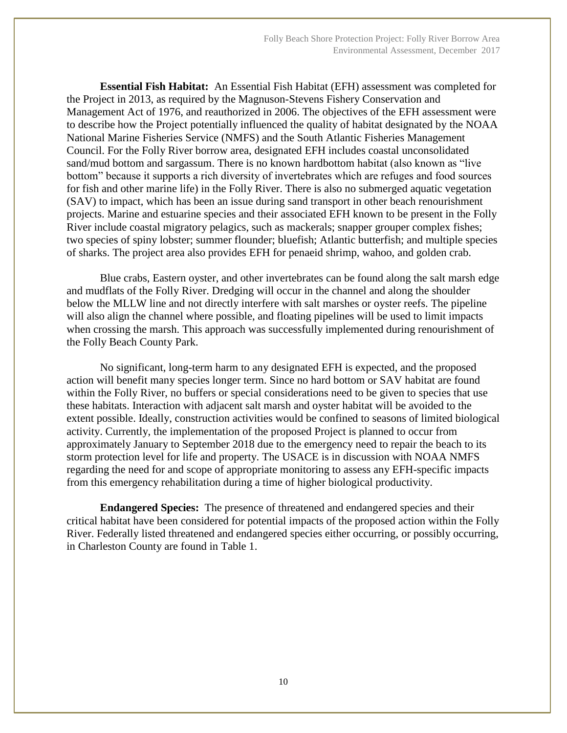**Essential Fish Habitat:** An Essential Fish Habitat (EFH) assessment was completed for the Project in 2013, as required by the Magnuson-Stevens Fishery Conservation and Management Act of 1976, and reauthorized in 2006. The objectives of the EFH assessment were to describe how the Project potentially influenced the quality of habitat designated by the NOAA National Marine Fisheries Service (NMFS) and the South Atlantic Fisheries Management Council. For the Folly River borrow area, designated EFH includes coastal unconsolidated sand/mud bottom and sargassum. There is no known hardbottom habitat (also known as "live bottom" because it supports a rich diversity of invertebrates which are refuges and food sources for fish and other marine life) in the Folly River. There is also no submerged aquatic vegetation (SAV) to impact, which has been an issue during sand transport in other beach renourishment projects. Marine and estuarine species and their associated EFH known to be present in the Folly River include coastal migratory pelagics, such as mackerals; snapper grouper complex fishes; two species of spiny lobster; summer flounder; bluefish; Atlantic butterfish; and multiple species of sharks. The project area also provides EFH for penaeid shrimp, wahoo, and golden crab.

Blue crabs, Eastern oyster, and other invertebrates can be found along the salt marsh edge and mudflats of the Folly River. Dredging will occur in the channel and along the shoulder below the MLLW line and not directly interfere with salt marshes or oyster reefs. The pipeline will also align the channel where possible, and floating pipelines will be used to limit impacts when crossing the marsh. This approach was successfully implemented during renourishment of the Folly Beach County Park.

No significant, long-term harm to any designated EFH is expected, and the proposed action will benefit many species longer term. Since no hard bottom or SAV habitat are found within the Folly River, no buffers or special considerations need to be given to species that use these habitats. Interaction with adjacent salt marsh and oyster habitat will be avoided to the extent possible. Ideally, construction activities would be confined to seasons of limited biological activity. Currently, the implementation of the proposed Project is planned to occur from approximately January to September 2018 due to the emergency need to repair the beach to its storm protection level for life and property. The USACE is in discussion with NOAA NMFS regarding the need for and scope of appropriate monitoring to assess any EFH-specific impacts from this emergency rehabilitation during a time of higher biological productivity.

**Endangered Species:** The presence of threatened and endangered species and their critical habitat have been considered for potential impacts of the proposed action within the Folly River. Federally listed threatened and endangered species either occurring, or possibly occurring, in Charleston County are found in Table 1.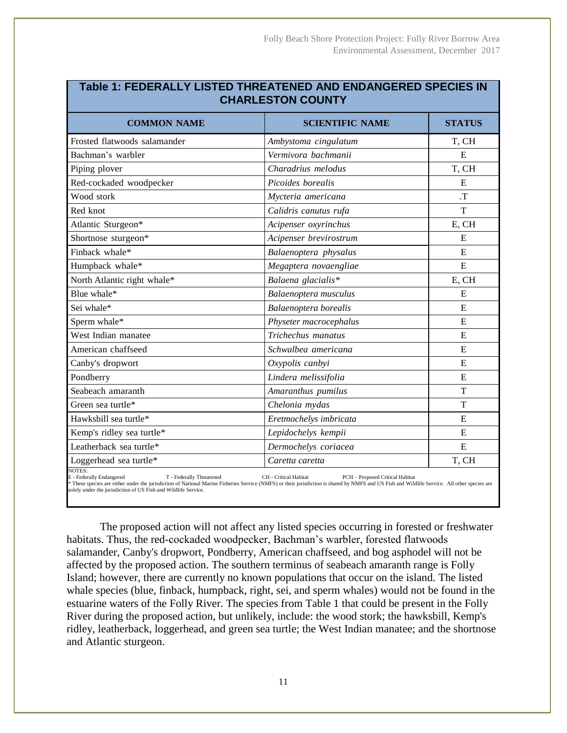| ו מטוס ז. ו בטבולתבנ ו בוט ובט ז ווולבת ובוזבט תוזט בוזטמוזטבולנט טו בטובט ווז<br><b>CHARLESTON COUNTY</b> |                                                          |                |
|------------------------------------------------------------------------------------------------------------|----------------------------------------------------------|----------------|
| <b>COMMON NAME</b>                                                                                         | <b>SCIENTIFIC NAME</b>                                   | <b>STATUS</b>  |
| Frosted flatwoods salamander                                                                               | Ambystoma cingulatum                                     | T, CH          |
| Bachman's warbler                                                                                          | Vermivora bachmanii                                      | $\overline{E}$ |
| Piping plover                                                                                              | Charadrius melodus                                       | T, CH          |
| Red-cockaded woodpecker                                                                                    | Picoides borealis                                        | E              |
| Wood stork                                                                                                 | Mycteria americana                                       | $T$ .          |
| Red knot                                                                                                   | Calidris canutus rufa                                    | T              |
| Atlantic Sturgeon*                                                                                         | Acipenser oxyrinchus                                     | E, CH          |
| Shortnose sturgeon*                                                                                        | Acipenser brevirostrum                                   | E              |
| Finback whale*                                                                                             | Balaenoptera physalus                                    | E              |
| Humpback whale*                                                                                            | Megaptera novaengliae                                    | E              |
| North Atlantic right whale*                                                                                | Balaena glacialis*                                       | E, CH          |
| Blue whale*                                                                                                | Balaenoptera musculus                                    | E              |
| Sei whale*                                                                                                 | Balaenoptera borealis                                    | E              |
| Sperm whale*                                                                                               | Physeter macrocephalus                                   | E              |
| West Indian manatee                                                                                        | Trichechus manatus                                       | E              |
| American chaffseed                                                                                         | Schwalbea americana                                      | E              |
| Canby's dropwort                                                                                           | Oxypolis canbyi                                          | E              |
| Pondberry                                                                                                  | Lindera melissifolia                                     | E              |
| Seabeach amaranth                                                                                          | Amaranthus pumilus                                       | T              |
| Green sea turtle*                                                                                          | Chelonia mydas                                           | T              |
| Hawksbill sea turtle*                                                                                      | Eretmochelys imbricata                                   | E              |
| Kemp's ridley sea turtle*                                                                                  | Lepidochelys kempii                                      | E              |
| Leatherback sea turtle*                                                                                    | Dermochelys coriacea                                     | E              |
| Loggerhead sea turtle*                                                                                     | Caretta caretta                                          | T, CH          |
| NOTES:<br>E - Federally Endangered<br>T - Federally Threatened                                             | CH - Critical Habitat<br>PCH - Proposed Critical Habitat |                |

**Table 1: FEDERALLY LISTED THREATENED AND ENDANGERED SPECIES IN** 

E - Federally Threatened CH - Critical Habitat PCH - Proposed Critical Habitat PCH - Proposed Critical Habitat<br>Frese species are either under the jurisdiction of National Marine Fisheries Service (NMFS) or their jurisdicti solely under the jurisdiction of US Fish and Wildlife Service.

The proposed action will not affect any listed species occurring in forested or freshwater habitats. Thus, the red-cockaded woodpecker, Bachman's warbler, forested flatwoods salamander, Canby's dropwort, Pondberry, American chaffseed, and bog asphodel will not be affected by the proposed action. The southern terminus of seabeach amaranth range is Folly Island; however, there are currently no known populations that occur on the island. The listed whale species (blue, finback, humpback, right, sei, and sperm whales) would not be found in the estuarine waters of the Folly River. The species from Table 1 that could be present in the Folly River during the proposed action, but unlikely, include: the wood stork; the hawksbill, Kemp's ridley, leatherback, loggerhead, and green sea turtle; the West Indian manatee; and the shortnose and Atlantic sturgeon.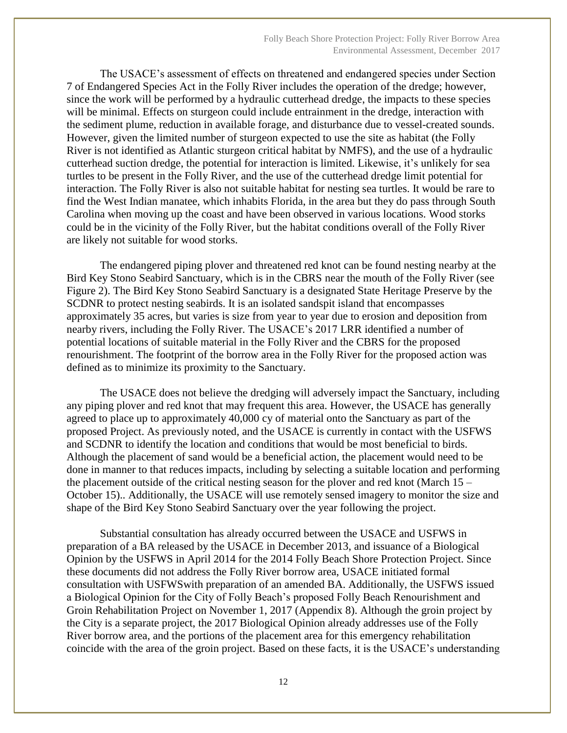The USACE's assessment of effects on threatened and endangered species under Section 7 of Endangered Species Act in the Folly River includes the operation of the dredge; however, since the work will be performed by a hydraulic cutterhead dredge, the impacts to these species will be minimal. Effects on sturgeon could include entrainment in the dredge, interaction with the sediment plume, reduction in available forage, and disturbance due to vessel-created sounds. However, given the limited number of sturgeon expected to use the site as habitat (the Folly River is not identified as Atlantic sturgeon critical habitat by NMFS), and the use of a hydraulic cutterhead suction dredge, the potential for interaction is limited. Likewise, it's unlikely for sea turtles to be present in the Folly River, and the use of the cutterhead dredge limit potential for interaction. The Folly River is also not suitable habitat for nesting sea turtles. It would be rare to find the West Indian manatee, which inhabits Florida, in the area but they do pass through South Carolina when moving up the coast and have been observed in various locations. Wood storks could be in the vicinity of the Folly River, but the habitat conditions overall of the Folly River are likely not suitable for wood storks.

The endangered piping plover and threatened red knot can be found nesting nearby at the Bird Key Stono Seabird Sanctuary, which is in the CBRS near the mouth of the Folly River (see Figure 2). The Bird Key Stono Seabird Sanctuary is a designated State Heritage Preserve by the SCDNR to protect nesting seabirds. It is an isolated sandspit island that encompasses approximately 35 acres, but varies is size from year to year due to erosion and deposition from nearby rivers, including the Folly River. The USACE's 2017 LRR identified a number of potential locations of suitable material in the Folly River and the CBRS for the proposed renourishment. The footprint of the borrow area in the Folly River for the proposed action was defined as to minimize its proximity to the Sanctuary.

The USACE does not believe the dredging will adversely impact the Sanctuary, including any piping plover and red knot that may frequent this area. However, the USACE has generally agreed to place up to approximately 40,000 cy of material onto the Sanctuary as part of the proposed Project. As previously noted, and the USACE is currently in contact with the USFWS and SCDNR to identify the location and conditions that would be most beneficial to birds. Although the placement of sand would be a beneficial action, the placement would need to be done in manner to that reduces impacts, including by selecting a suitable location and performing the placement outside of the critical nesting season for the plover and red knot (March 15 – October 15).. Additionally, the USACE will use remotely sensed imagery to monitor the size and shape of the Bird Key Stono Seabird Sanctuary over the year following the project.

Substantial consultation has already occurred between the USACE and USFWS in preparation of a BA released by the USACE in December 2013, and issuance of a Biological Opinion by the USFWS in April 2014 for the 2014 Folly Beach Shore Protection Project. Since these documents did not address the Folly River borrow area, USACE initiated formal consultation with USFWSwith preparation of an amended BA. Additionally, the USFWS issued a Biological Opinion for the City of Folly Beach's proposed Folly Beach Renourishment and Groin Rehabilitation Project on November 1, 2017 (Appendix 8). Although the groin project by the City is a separate project, the 2017 Biological Opinion already addresses use of the Folly River borrow area, and the portions of the placement area for this emergency rehabilitation coincide with the area of the groin project. Based on these facts, it is the USACE's understanding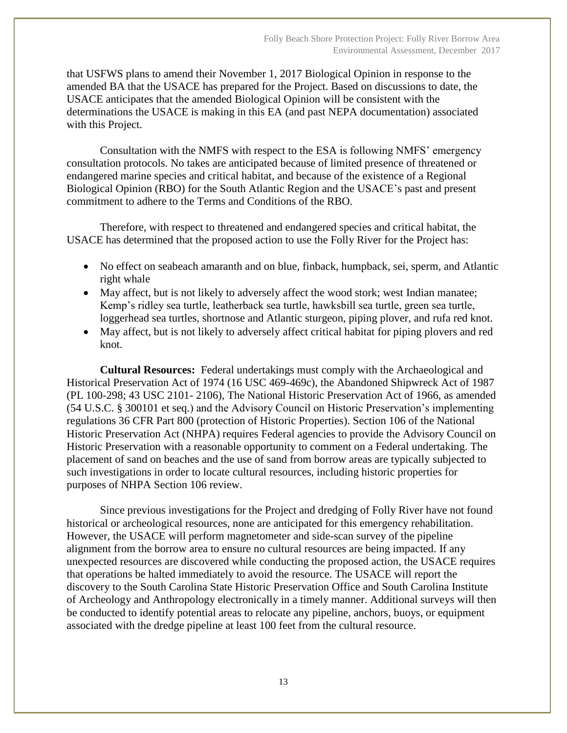that USFWS plans to amend their November 1, 2017 Biological Opinion in response to the amended BA that the USACE has prepared for the Project. Based on discussions to date, the USACE anticipates that the amended Biological Opinion will be consistent with the determinations the USACE is making in this EA (and past NEPA documentation) associated with this Project.

Consultation with the NMFS with respect to the ESA is following NMFS' emergency consultation protocols. No takes are anticipated because of limited presence of threatened or endangered marine species and critical habitat, and because of the existence of a Regional Biological Opinion (RBO) for the South Atlantic Region and the USACE's past and present commitment to adhere to the Terms and Conditions of the RBO.

Therefore, with respect to threatened and endangered species and critical habitat, the USACE has determined that the proposed action to use the Folly River for the Project has:

- No effect on seabeach amaranth and on blue, finback, humpback, sei, sperm, and Atlantic right whale
- May affect, but is not likely to adversely affect the wood stork; west Indian manatee; Kemp's ridley sea turtle, leatherback sea turtle, hawksbill sea turtle, green sea turtle, loggerhead sea turtles, shortnose and Atlantic sturgeon, piping plover, and rufa red knot.
- May affect, but is not likely to adversely affect critical habitat for piping plovers and red knot.

**Cultural Resources:** Federal undertakings must comply with the Archaeological and Historical Preservation Act of 1974 (16 USC 469-469c), the Abandoned Shipwreck Act of 1987 (PL 100-298; 43 USC 2101- 2106), The National Historic Preservation Act of 1966, as amended (54 U.S.C. § 300101 et seq.) and the Advisory Council on Historic Preservation's implementing regulations 36 CFR Part 800 (protection of Historic Properties). Section 106 of the National Historic Preservation Act (NHPA) requires Federal agencies to provide the Advisory Council on Historic Preservation with a reasonable opportunity to comment on a Federal undertaking. The placement of sand on beaches and the use of sand from borrow areas are typically subjected to such investigations in order to locate cultural resources, including historic properties for purposes of NHPA Section 106 review.

Since previous investigations for the Project and dredging of Folly River have not found historical or archeological resources, none are anticipated for this emergency rehabilitation. However, the USACE will perform magnetometer and side-scan survey of the pipeline alignment from the borrow area to ensure no cultural resources are being impacted. If any unexpected resources are discovered while conducting the proposed action, the USACE requires that operations be halted immediately to avoid the resource. The USACE will report the discovery to the South Carolina State Historic Preservation Office and South Carolina Institute of Archeology and Anthropology electronically in a timely manner. Additional surveys will then be conducted to identify potential areas to relocate any pipeline, anchors, buoys, or equipment associated with the dredge pipeline at least 100 feet from the cultural resource.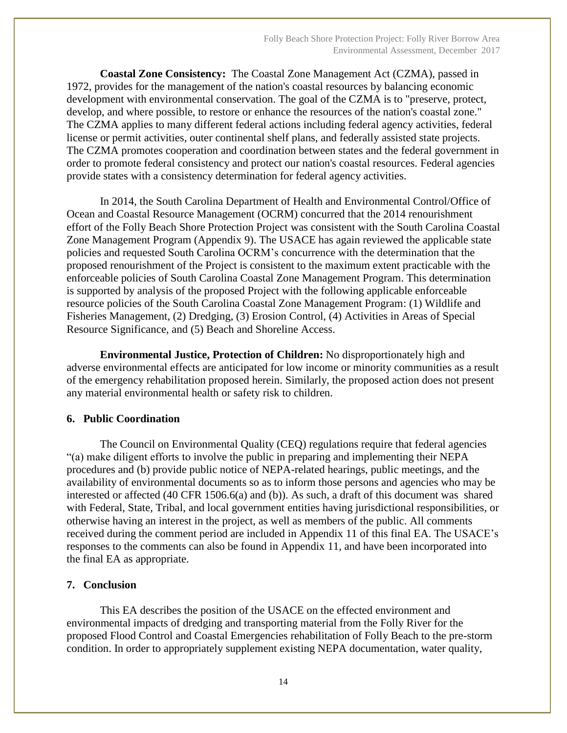**Coastal Zone Consistency:** The Coastal Zone Management Act (CZMA), passed in 1972, provides for the management of the nation's coastal resources by balancing economic development with environmental conservation. The goal of the CZMA is to "preserve, protect, develop, and where possible, to restore or enhance the resources of the nation's coastal zone." The CZMA applies to many different federal actions including federal agency activities, federal license or permit activities, outer continental shelf plans, and federally assisted state projects. The CZMA promotes cooperation and coordination between states and the federal government in order to promote federal consistency and protect our nation's coastal resources. Federal agencies provide states with a consistency determination for federal agency activities.

In 2014, the South Carolina Department of Health and Environmental Control/Office of Ocean and Coastal Resource Management (OCRM) concurred that the 2014 renourishment effort of the Folly Beach Shore Protection Project was consistent with the South Carolina Coastal Zone Management Program (Appendix 9). The USACE has again reviewed the applicable state policies and requested South Carolina OCRM's concurrence with the determination that the proposed renourishment of the Project is consistent to the maximum extent practicable with the enforceable policies of South Carolina Coastal Zone Management Program. This determination is supported by analysis of the proposed Project with the following applicable enforceable resource policies of the South Carolina Coastal Zone Management Program: (1) Wildlife and Fisheries Management, (2) Dredging, (3) Erosion Control, (4) Activities in Areas of Special Resource Significance, and (5) Beach and Shoreline Access.

**Environmental Justice, Protection of Children:** No disproportionately high and adverse environmental effects are anticipated for low income or minority communities as a result of the emergency rehabilitation proposed herein. Similarly, the proposed action does not present any material environmental health or safety risk to children.

#### **6. Public Coordination**

The Council on Environmental Quality (CEQ) regulations require that federal agencies "(a) make diligent efforts to involve the public in preparing and implementing their NEPA procedures and (b) provide public notice of NEPA-related hearings, public meetings, and the availability of environmental documents so as to inform those persons and agencies who may be interested or affected (40 CFR 1506.6(a) and (b)). As such, a draft of this document was shared with Federal, State, Tribal, and local government entities having jurisdictional responsibilities, or otherwise having an interest in the project, as well as members of the public. All comments received during the comment period are included in Appendix 11 of this final EA. The USACE's responses to the comments can also be found in Appendix 11, and have been incorporated into the final EA as appropriate.

#### **7. Conclusion**

This EA describes the position of the USACE on the effected environment and environmental impacts of dredging and transporting material from the Folly River for the proposed Flood Control and Coastal Emergencies rehabilitation of Folly Beach to the pre-storm condition. In order to appropriately supplement existing NEPA documentation, water quality,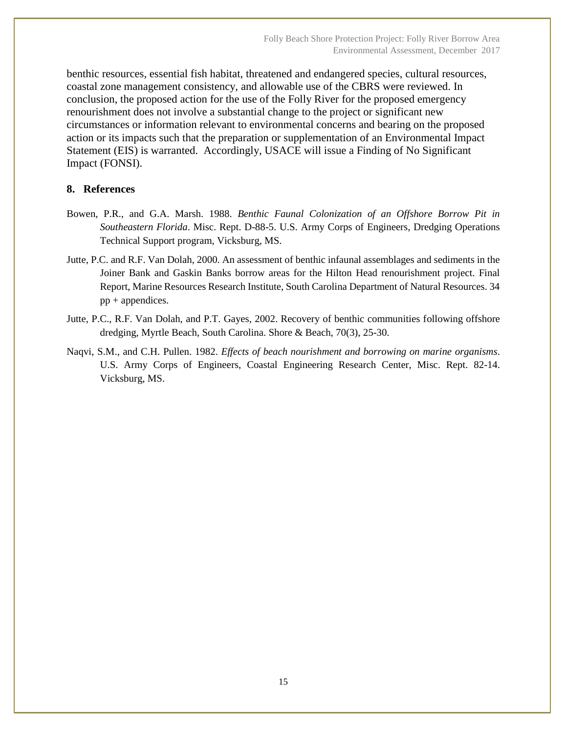benthic resources, essential fish habitat, threatened and endangered species, cultural resources, coastal zone management consistency, and allowable use of the CBRS were reviewed. In conclusion, the proposed action for the use of the Folly River for the proposed emergency renourishment does not involve a substantial change to the project or significant new circumstances or information relevant to environmental concerns and bearing on the proposed action or its impacts such that the preparation or supplementation of an Environmental Impact Statement (EIS) is warranted. Accordingly, USACE will issue a Finding of No Significant Impact (FONSI).

#### **8. References**

- Bowen, P.R., and G.A. Marsh. 1988. *Benthic Faunal Colonization of an Offshore Borrow Pit in Southeastern Florida*. Misc. Rept. D-88-5. U.S. Army Corps of Engineers, Dredging Operations Technical Support program, Vicksburg, MS.
- Jutte, P.C. and R.F. Van Dolah, 2000. An assessment of benthic infaunal assemblages and sediments in the Joiner Bank and Gaskin Banks borrow areas for the Hilton Head renourishment project. Final Report, Marine Resources Research Institute, South Carolina Department of Natural Resources. 34 pp + appendices.
- Jutte, P.C., R.F. Van Dolah, and P.T. Gayes, 2002. Recovery of benthic communities following offshore dredging, Myrtle Beach, South Carolina. Shore & Beach, 70(3), 25-30.
- Naqvi, S.M., and C.H. Pullen. 1982. *Effects of beach nourishment and borrowing on marine organisms*. U.S. Army Corps of Engineers, Coastal Engineering Research Center, Misc. Rept. 82-14. Vicksburg, MS.